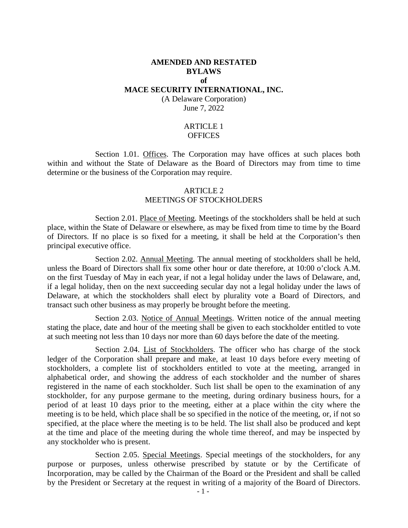## **AMENDED AND RESTATED BYLAWS of**

#### **MACE SECURITY INTERNATIONAL, INC.**

## (A Delaware Corporation) June 7, 2022

# ARTICLE 1 **OFFICES**

Section 1.01. Offices. The Corporation may have offices at such places both within and without the State of Delaware as the Board of Directors may from time to time determine or the business of the Corporation may require.

# ARTICLE 2 MEETINGS OF STOCKHOLDERS

Section 2.01. Place of Meeting. Meetings of the stockholders shall be held at such place, within the State of Delaware or elsewhere, as may be fixed from time to time by the Board of Directors. If no place is so fixed for a meeting, it shall be held at the Corporation's then principal executive office.

Section 2.02. Annual Meeting. The annual meeting of stockholders shall be held, unless the Board of Directors shall fix some other hour or date therefore, at 10:00 o'clock A.M. on the first Tuesday of May in each year, if not a legal holiday under the laws of Delaware, and, if a legal holiday, then on the next succeeding secular day not a legal holiday under the laws of Delaware, at which the stockholders shall elect by plurality vote a Board of Directors, and transact such other business as may properly be brought before the meeting.

Section 2.03. Notice of Annual Meetings. Written notice of the annual meeting stating the place, date and hour of the meeting shall be given to each stockholder entitled to vote at such meeting not less than 10 days nor more than 60 days before the date of the meeting.

Section 2.04. List of Stockholders. The officer who has charge of the stock ledger of the Corporation shall prepare and make, at least 10 days before every meeting of stockholders, a complete list of stockholders entitled to vote at the meeting, arranged in alphabetical order, and showing the address of each stockholder and the number of shares registered in the name of each stockholder. Such list shall be open to the examination of any stockholder, for any purpose germane to the meeting, during ordinary business hours, for a period of at least 10 days prior to the meeting, either at a place within the city where the meeting is to be held, which place shall be so specified in the notice of the meeting, or, if not so specified, at the place where the meeting is to be held. The list shall also be produced and kept at the time and place of the meeting during the whole time thereof, and may be inspected by any stockholder who is present.

Section 2.05. Special Meetings. Special meetings of the stockholders, for any purpose or purposes, unless otherwise prescribed by statute or by the Certificate of Incorporation, may be called by the Chairman of the Board or the President and shall be called by the President or Secretary at the request in writing of a majority of the Board of Directors.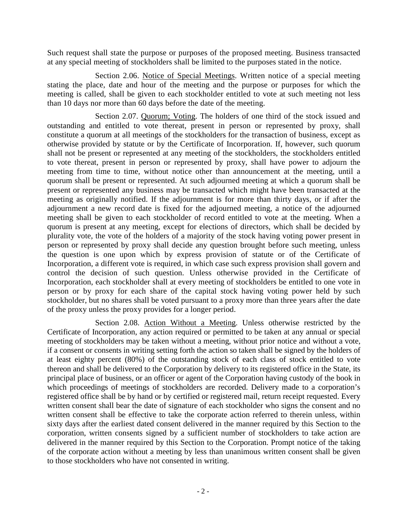Such request shall state the purpose or purposes of the proposed meeting. Business transacted at any special meeting of stockholders shall be limited to the purposes stated in the notice.

Section 2.06. Notice of Special Meetings. Written notice of a special meeting stating the place, date and hour of the meeting and the purpose or purposes for which the meeting is called, shall be given to each stockholder entitled to vote at such meeting not less than 10 days nor more than 60 days before the date of the meeting.

Section 2.07. Quorum; Voting. The holders of one third of the stock issued and outstanding and entitled to vote thereat, present in person or represented by proxy, shall constitute a quorum at all meetings of the stockholders for the transaction of business, except as otherwise provided by statute or by the Certificate of Incorporation. If, however, such quorum shall not be present or represented at any meeting of the stockholders, the stockholders entitled to vote thereat, present in person or represented by proxy, shall have power to adjourn the meeting from time to time, without notice other than announcement at the meeting, until a quorum shall be present or represented. At such adjourned meeting at which a quorum shall be present or represented any business may be transacted which might have been transacted at the meeting as originally notified. If the adjournment is for more than thirty days, or if after the adjournment a new record date is fixed for the adjourned meeting, a notice of the adjourned meeting shall be given to each stockholder of record entitled to vote at the meeting. When a quorum is present at any meeting, except for elections of directors, which shall be decided by plurality vote, the vote of the holders of a majority of the stock having voting power present in person or represented by proxy shall decide any question brought before such meeting, unless the question is one upon which by express provision of statute or of the Certificate of Incorporation, a different vote is required, in which case such express provision shall govern and control the decision of such question. Unless otherwise provided in the Certificate of Incorporation, each stockholder shall at every meeting of stockholders be entitled to one vote in person or by proxy for each share of the capital stock having voting power held by such stockholder, but no shares shall be voted pursuant to a proxy more than three years after the date of the proxy unless the proxy provides for a longer period.

Section 2.08. Action Without a Meeting. Unless otherwise restricted by the Certificate of Incorporation, any action required or permitted to be taken at any annual or special meeting of stockholders may be taken without a meeting, without prior notice and without a vote, if a consent or consents in writing setting forth the action so taken shall be signed by the holders of at least eighty percent (80%) of the outstanding stock of each class of stock entitled to vote thereon and shall be delivered to the Corporation by delivery to its registered office in the State, its principal place of business, or an officer or agent of the Corporation having custody of the book in which proceedings of meetings of stockholders are recorded. Delivery made to a corporation's registered office shall be by hand or by certified or registered mail, return receipt requested. Every written consent shall bear the date of signature of each stockholder who signs the consent and no written consent shall be effective to take the corporate action referred to therein unless, within sixty days after the earliest dated consent delivered in the manner required by this Section to the corporation, written consents signed by a sufficient number of stockholders to take action are delivered in the manner required by this Section to the Corporation. Prompt notice of the taking of the corporate action without a meeting by less than unanimous written consent shall be given to those stockholders who have not consented in writing.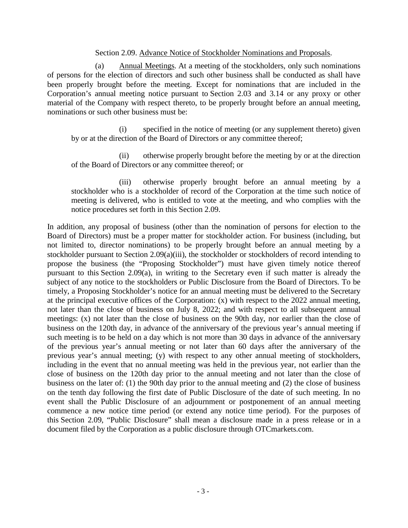### Section 2.09. Advance Notice of Stockholder Nominations and Proposals.

(a) Annual Meetings. At a meeting of the stockholders, only such nominations of persons for the election of directors and such other business shall be conducted as shall have been properly brought before the meeting. Except for nominations that are included in the Corporation's annual meeting notice pursuant to Section 2.03 and 3.14 or any proxy or other material of the Company with respect thereto, to be properly brought before an annual meeting, nominations or such other business must be:

(i) specified in the notice of meeting (or any supplement thereto) given by or at the direction of the Board of Directors or any committee thereof;

(ii) otherwise properly brought before the meeting by or at the direction of the Board of Directors or any committee thereof; or

(iii) otherwise properly brought before an annual meeting by a stockholder who is a stockholder of record of the Corporation at the time such notice of meeting is delivered, who is entitled to vote at the meeting, and who complies with the notice procedures set forth in this Section 2.09.

In addition, any proposal of business (other than the nomination of persons for election to the Board of Directors) must be a proper matter for stockholder action. For business (including, but not limited to, director nominations) to be properly brought before an annual meeting by a stockholder pursuant to Section 2.09(a)(iii), the stockholder or stockholders of record intending to propose the business (the "Proposing Stockholder") must have given timely notice thereof pursuant to this Section 2.09(a), in writing to the Secretary even if such matter is already the subject of any notice to the stockholders or Public Disclosure from the Board of Directors. To be timely, a Proposing Stockholder's notice for an annual meeting must be delivered to the Secretary at the principal executive offices of the Corporation: (x) with respect to the 2022 annual meeting, not later than the close of business on July 8, 2022; and with respect to all subsequent annual meetings: (x) not later than the close of business on the 90th day, nor earlier than the close of business on the 120th day, in advance of the anniversary of the previous year's annual meeting if such meeting is to be held on a day which is not more than 30 days in advance of the anniversary of the previous year's annual meeting or not later than 60 days after the anniversary of the previous year's annual meeting; (y) with respect to any other annual meeting of stockholders, including in the event that no annual meeting was held in the previous year, not earlier than the close of business on the 120th day prior to the annual meeting and not later than the close of business on the later of: (1) the 90th day prior to the annual meeting and (2) the close of business on the tenth day following the first date of Public Disclosure of the date of such meeting. In no event shall the Public Disclosure of an adjournment or postponement of an annual meeting commence a new notice time period (or extend any notice time period). For the purposes of this Section 2.09, "Public Disclosure" shall mean a disclosure made in a press release or in a document filed by the Corporation as a public disclosure through OTCmarkets.com.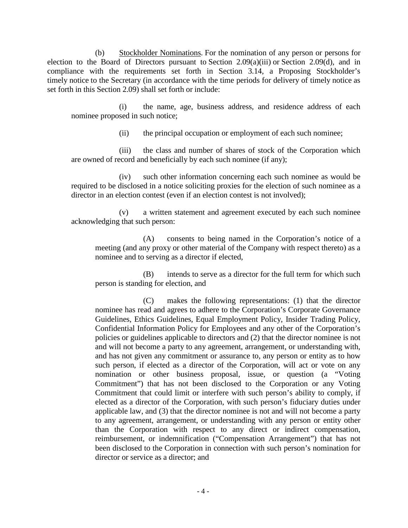(b) Stockholder Nominations. For the nomination of any person or persons for election to the Board of Directors pursuant to Section 2.09(a)(iii) or Section 2.09(d), and in compliance with the requirements set forth in Section 3.14, a Proposing Stockholder's timely notice to the Secretary (in accordance with the time periods for delivery of timely notice as set forth in this Section 2.09) shall set forth or include:

(i) the name, age, business address, and residence address of each nominee proposed in such notice;

(ii) the principal occupation or employment of each such nominee;

(iii) the class and number of shares of stock of the Corporation which are owned of record and beneficially by each such nominee (if any);

(iv) such other information concerning each such nominee as would be required to be disclosed in a notice soliciting proxies for the election of such nominee as a director in an election contest (even if an election contest is not involved);

(v) a written statement and agreement executed by each such nominee acknowledging that such person:

(A) consents to being named in the Corporation's notice of a meeting (and any proxy or other material of the Company with respect thereto) as a nominee and to serving as a director if elected,

(B) intends to serve as a director for the full term for which such person is standing for election, and

(C) makes the following representations: (1) that the director nominee has read and agrees to adhere to the Corporation's Corporate Governance Guidelines, Ethics Guidelines, Equal Employment Policy, Insider Trading Policy, Confidential Information Policy for Employees and any other of the Corporation's policies or guidelines applicable to directors and (2) that the director nominee is not and will not become a party to any agreement, arrangement, or understanding with, and has not given any commitment or assurance to, any person or entity as to how such person, if elected as a director of the Corporation, will act or vote on any nomination or other business proposal, issue, or question (a "Voting Commitment") that has not been disclosed to the Corporation or any Voting Commitment that could limit or interfere with such person's ability to comply, if elected as a director of the Corporation, with such person's fiduciary duties under applicable law, and (3) that the director nominee is not and will not become a party to any agreement, arrangement, or understanding with any person or entity other than the Corporation with respect to any direct or indirect compensation, reimbursement, or indemnification ("Compensation Arrangement") that has not been disclosed to the Corporation in connection with such person's nomination for director or service as a director; and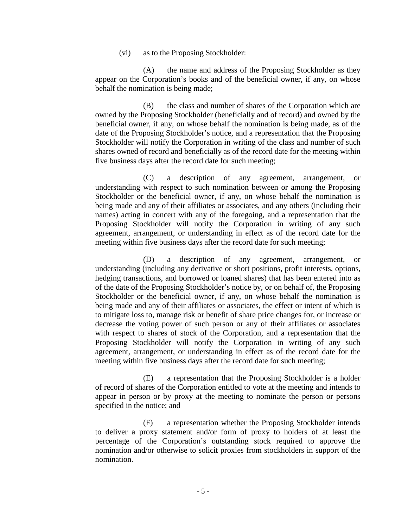(vi) as to the Proposing Stockholder:

(A) the name and address of the Proposing Stockholder as they appear on the Corporation's books and of the beneficial owner, if any, on whose behalf the nomination is being made;

(B) the class and number of shares of the Corporation which are owned by the Proposing Stockholder (beneficially and of record) and owned by the beneficial owner, if any, on whose behalf the nomination is being made, as of the date of the Proposing Stockholder's notice, and a representation that the Proposing Stockholder will notify the Corporation in writing of the class and number of such shares owned of record and beneficially as of the record date for the meeting within five business days after the record date for such meeting;

(C) a description of any agreement, arrangement, or understanding with respect to such nomination between or among the Proposing Stockholder or the beneficial owner, if any, on whose behalf the nomination is being made and any of their affiliates or associates, and any others (including their names) acting in concert with any of the foregoing, and a representation that the Proposing Stockholder will notify the Corporation in writing of any such agreement, arrangement, or understanding in effect as of the record date for the meeting within five business days after the record date for such meeting;

(D) a description of any agreement, arrangement, or understanding (including any derivative or short positions, profit interests, options, hedging transactions, and borrowed or loaned shares) that has been entered into as of the date of the Proposing Stockholder's notice by, or on behalf of, the Proposing Stockholder or the beneficial owner, if any, on whose behalf the nomination is being made and any of their affiliates or associates, the effect or intent of which is to mitigate loss to, manage risk or benefit of share price changes for, or increase or decrease the voting power of such person or any of their affiliates or associates with respect to shares of stock of the Corporation, and a representation that the Proposing Stockholder will notify the Corporation in writing of any such agreement, arrangement, or understanding in effect as of the record date for the meeting within five business days after the record date for such meeting;

(E) a representation that the Proposing Stockholder is a holder of record of shares of the Corporation entitled to vote at the meeting and intends to appear in person or by proxy at the meeting to nominate the person or persons specified in the notice; and

(F) a representation whether the Proposing Stockholder intends to deliver a proxy statement and/or form of proxy to holders of at least the percentage of the Corporation's outstanding stock required to approve the nomination and/or otherwise to solicit proxies from stockholders in support of the nomination.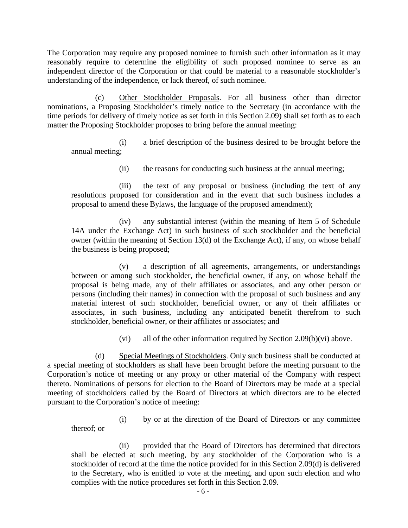The Corporation may require any proposed nominee to furnish such other information as it may reasonably require to determine the eligibility of such proposed nominee to serve as an independent director of the Corporation or that could be material to a reasonable stockholder's understanding of the independence, or lack thereof, of such nominee.

(c) Other Stockholder Proposals. For all business other than director nominations, a Proposing Stockholder's timely notice to the Secretary (in accordance with the time periods for delivery of timely notice as set forth in this Section 2.09) shall set forth as to each matter the Proposing Stockholder proposes to bring before the annual meeting:

(i) a brief description of the business desired to be brought before the annual meeting;

(ii) the reasons for conducting such business at the annual meeting;

(iii) the text of any proposal or business (including the text of any resolutions proposed for consideration and in the event that such business includes a proposal to amend these Bylaws, the language of the proposed amendment);

(iv) any substantial interest (within the meaning of Item 5 of Schedule 14A under the Exchange Act) in such business of such stockholder and the beneficial owner (within the meaning of Section 13(d) of the Exchange Act), if any, on whose behalf the business is being proposed;

(v) a description of all agreements, arrangements, or understandings between or among such stockholder, the beneficial owner, if any, on whose behalf the proposal is being made, any of their affiliates or associates, and any other person or persons (including their names) in connection with the proposal of such business and any material interest of such stockholder, beneficial owner, or any of their affiliates or associates, in such business, including any anticipated benefit therefrom to such stockholder, beneficial owner, or their affiliates or associates; and

(vi) all of the other information required by Section 2.09(b)(vi) above.

(d) Special Meetings of Stockholders. Only such business shall be conducted at a special meeting of stockholders as shall have been brought before the meeting pursuant to the Corporation's notice of meeting or any proxy or other material of the Company with respect thereto. Nominations of persons for election to the Board of Directors may be made at a special meeting of stockholders called by the Board of Directors at which directors are to be elected pursuant to the Corporation's notice of meeting:

(i) by or at the direction of the Board of Directors or any committee thereof; or

(ii) provided that the Board of Directors has determined that directors shall be elected at such meeting, by any stockholder of the Corporation who is a stockholder of record at the time the notice provided for in this Section 2.09(d) is delivered to the Secretary, who is entitled to vote at the meeting, and upon such election and who complies with the notice procedures set forth in this Section 2.09.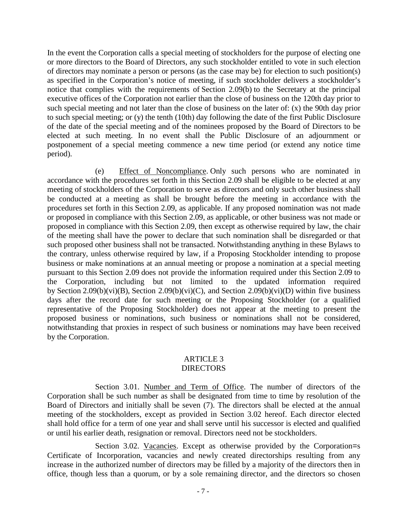In the event the Corporation calls a special meeting of stockholders for the purpose of electing one or more directors to the Board of Directors, any such stockholder entitled to vote in such election of directors may nominate a person or persons (as the case may be) for election to such position(s) as specified in the Corporation's notice of meeting, if such stockholder delivers a stockholder's notice that complies with the requirements of Section 2.09(b) to the Secretary at the principal executive offices of the Corporation not earlier than the close of business on the 120th day prior to such special meeting and not later than the close of business on the later of: (x) the 90th day prior to such special meeting; or (y) the tenth (10th) day following the date of the first Public Disclosure of the date of the special meeting and of the nominees proposed by the Board of Directors to be elected at such meeting. In no event shall the Public Disclosure of an adjournment or postponement of a special meeting commence a new time period (or extend any notice time period).

(e) Effect of Noncompliance. Only such persons who are nominated in accordance with the procedures set forth in this Section 2.09 shall be eligible to be elected at any meeting of stockholders of the Corporation to serve as directors and only such other business shall be conducted at a meeting as shall be brought before the meeting in accordance with the procedures set forth in this Section 2.09, as applicable. If any proposed nomination was not made or proposed in compliance with this Section 2.09, as applicable, or other business was not made or proposed in compliance with this Section 2.09, then except as otherwise required by law, the chair of the meeting shall have the power to declare that such nomination shall be disregarded or that such proposed other business shall not be transacted. Notwithstanding anything in these Bylaws to the contrary, unless otherwise required by law, if a Proposing Stockholder intending to propose business or make nominations at an annual meeting or propose a nomination at a special meeting pursuant to this Section 2.09 does not provide the information required under this Section 2.09 to the Corporation, including but not limited to the updated information required by Section 2.09(b)(vi)(B), Section 2.09(b)(vi)(C), and Section 2.09(b)(vi)(D) within five business days after the record date for such meeting or the Proposing Stockholder (or a qualified representative of the Proposing Stockholder) does not appear at the meeting to present the proposed business or nominations, such business or nominations shall not be considered, notwithstanding that proxies in respect of such business or nominations may have been received by the Corporation.

#### ARTICLE 3 DIRECTORS

Section 3.01. Number and Term of Office. The number of directors of the Corporation shall be such number as shall be designated from time to time by resolution of the Board of Directors and initially shall be seven (7). The directors shall be elected at the annual meeting of the stockholders, except as provided in Section 3.02 hereof. Each director elected shall hold office for a term of one year and shall serve until his successor is elected and qualified or until his earlier death, resignation or removal. Directors need not be stockholders.

Section 3.02. Vacancies. Except as otherwise provided by the Corporation=s Certificate of Incorporation, vacancies and newly created directorships resulting from any increase in the authorized number of directors may be filled by a majority of the directors then in office, though less than a quorum, or by a sole remaining director, and the directors so chosen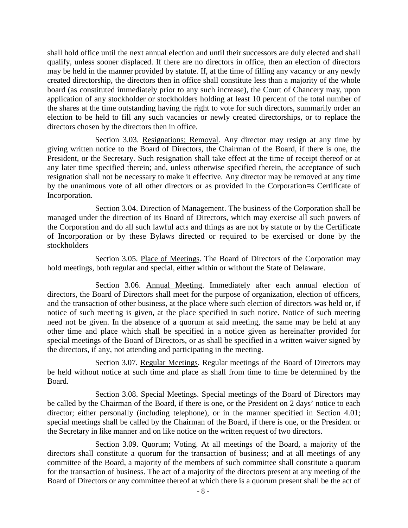shall hold office until the next annual election and until their successors are duly elected and shall qualify, unless sooner displaced. If there are no directors in office, then an election of directors may be held in the manner provided by statute. If, at the time of filling any vacancy or any newly created directorship, the directors then in office shall constitute less than a majority of the whole board (as constituted immediately prior to any such increase), the Court of Chancery may, upon application of any stockholder or stockholders holding at least 10 percent of the total number of the shares at the time outstanding having the right to vote for such directors, summarily order an election to be held to fill any such vacancies or newly created directorships, or to replace the directors chosen by the directors then in office.

Section 3.03. Resignations; Removal. Any director may resign at any time by giving written notice to the Board of Directors, the Chairman of the Board, if there is one, the President, or the Secretary. Such resignation shall take effect at the time of receipt thereof or at any later time specified therein; and, unless otherwise specified therein, the acceptance of such resignation shall not be necessary to make it effective. Any director may be removed at any time by the unanimous vote of all other directors or as provided in the Corporation=s Certificate of Incorporation.

Section 3.04. Direction of Management. The business of the Corporation shall be managed under the direction of its Board of Directors, which may exercise all such powers of the Corporation and do all such lawful acts and things as are not by statute or by the Certificate of Incorporation or by these Bylaws directed or required to be exercised or done by the stockholders

Section 3.05. Place of Meetings. The Board of Directors of the Corporation may hold meetings, both regular and special, either within or without the State of Delaware.

Section 3.06. Annual Meeting. Immediately after each annual election of directors, the Board of Directors shall meet for the purpose of organization, election of officers, and the transaction of other business, at the place where such election of directors was held or, if notice of such meeting is given, at the place specified in such notice. Notice of such meeting need not be given. In the absence of a quorum at said meeting, the same may be held at any other time and place which shall be specified in a notice given as hereinafter provided for special meetings of the Board of Directors, or as shall be specified in a written waiver signed by the directors, if any, not attending and participating in the meeting.

Section 3.07. Regular Meetings. Regular meetings of the Board of Directors may be held without notice at such time and place as shall from time to time be determined by the Board.

Section 3.08. Special Meetings. Special meetings of the Board of Directors may be called by the Chairman of the Board, if there is one, or the President on 2 days' notice to each director; either personally (including telephone), or in the manner specified in Section 4.01; special meetings shall be called by the Chairman of the Board, if there is one, or the President or the Secretary in like manner and on like notice on the written request of two directors.

Section 3.09. Quorum; Voting. At all meetings of the Board, a majority of the directors shall constitute a quorum for the transaction of business; and at all meetings of any committee of the Board, a majority of the members of such committee shall constitute a quorum for the transaction of business. The act of a majority of the directors present at any meeting of the Board of Directors or any committee thereof at which there is a quorum present shall be the act of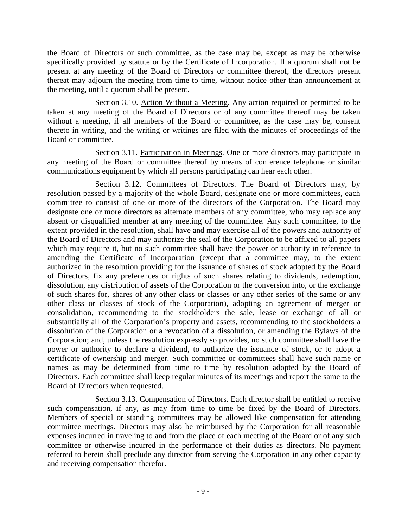the Board of Directors or such committee, as the case may be, except as may be otherwise specifically provided by statute or by the Certificate of Incorporation. If a quorum shall not be present at any meeting of the Board of Directors or committee thereof, the directors present thereat may adjourn the meeting from time to time, without notice other than announcement at the meeting, until a quorum shall be present.

Section 3.10. Action Without a Meeting. Any action required or permitted to be taken at any meeting of the Board of Directors or of any committee thereof may be taken without a meeting, if all members of the Board or committee, as the case may be, consent thereto in writing, and the writing or writings are filed with the minutes of proceedings of the Board or committee.

Section 3.11. Participation in Meetings. One or more directors may participate in any meeting of the Board or committee thereof by means of conference telephone or similar communications equipment by which all persons participating can hear each other.

Section 3.12. Committees of Directors. The Board of Directors may, by resolution passed by a majority of the whole Board, designate one or more committees, each committee to consist of one or more of the directors of the Corporation. The Board may designate one or more directors as alternate members of any committee, who may replace any absent or disqualified member at any meeting of the committee. Any such committee, to the extent provided in the resolution, shall have and may exercise all of the powers and authority of the Board of Directors and may authorize the seal of the Corporation to be affixed to all papers which may require it, but no such committee shall have the power or authority in reference to amending the Certificate of Incorporation (except that a committee may, to the extent authorized in the resolution providing for the issuance of shares of stock adopted by the Board of Directors, fix any preferences or rights of such shares relating to dividends, redemption, dissolution, any distribution of assets of the Corporation or the conversion into, or the exchange of such shares for, shares of any other class or classes or any other series of the same or any other class or classes of stock of the Corporation), adopting an agreement of merger or consolidation, recommending to the stockholders the sale, lease or exchange of all or substantially all of the Corporation's property and assets, recommending to the stockholders a dissolution of the Corporation or a revocation of a dissolution, or amending the Bylaws of the Corporation; and, unless the resolution expressly so provides, no such committee shall have the power or authority to declare a dividend, to authorize the issuance of stock, or to adopt a certificate of ownership and merger. Such committee or committees shall have such name or names as may be determined from time to time by resolution adopted by the Board of Directors. Each committee shall keep regular minutes of its meetings and report the same to the Board of Directors when requested.

Section 3.13. Compensation of Directors. Each director shall be entitled to receive such compensation, if any, as may from time to time be fixed by the Board of Directors. Members of special or standing committees may be allowed like compensation for attending committee meetings. Directors may also be reimbursed by the Corporation for all reasonable expenses incurred in traveling to and from the place of each meeting of the Board or of any such committee or otherwise incurred in the performance of their duties as directors. No payment referred to herein shall preclude any director from serving the Corporation in any other capacity and receiving compensation therefor.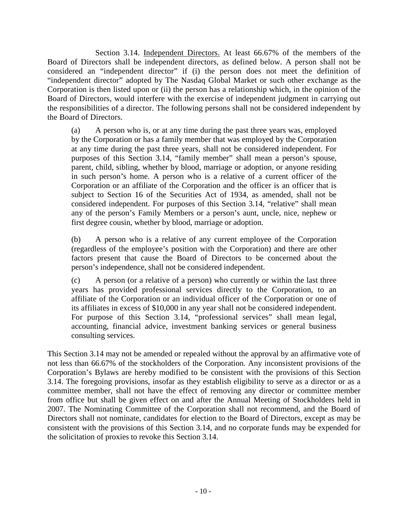Section 3.14. Independent Directors. At least 66.67% of the members of the Board of Directors shall be independent directors, as defined below. A person shall not be considered an "independent director" if (i) the person does not meet the definition of "independent director" adopted by The Nasdaq Global Market or such other exchange as the Corporation is then listed upon or (ii) the person has a relationship which, in the opinion of the Board of Directors, would interfere with the exercise of independent judgment in carrying out the responsibilities of a director. The following persons shall not be considered independent by the Board of Directors.

(a) A person who is, or at any time during the past three years was, employed by the Corporation or has a family member that was employed by the Corporation at any time during the past three years, shall not be considered independent. For purposes of this Section 3.14, "family member" shall mean a person's spouse, parent, child, sibling, whether by blood, marriage or adoption, or anyone residing in such person's home. A person who is a relative of a current officer of the Corporation or an affiliate of the Corporation and the officer is an officer that is subject to Section 16 of the Securities Act of 1934, as amended, shall not be considered independent. For purposes of this Section 3.14, "relative" shall mean any of the person's Family Members or a person's aunt, uncle, nice, nephew or first degree cousin, whether by blood, marriage or adoption.

(b) A person who is a relative of any current employee of the Corporation (regardless of the employee's position with the Corporation) and there are other factors present that cause the Board of Directors to be concerned about the person's independence, shall not be considered independent.

(c) A person (or a relative of a person) who currently or within the last three years has provided professional services directly to the Corporation, to an affiliate of the Corporation or an individual officer of the Corporation or one of its affiliates in excess of \$10,000 in any year shall not be considered independent. For purpose of this Section 3.14, "professional services" shall mean legal, accounting, financial advice, investment banking services or general business consulting services.

This Section 3.14 may not be amended or repealed without the approval by an affirmative vote of not less than 66.67% of the stockholders of the Corporation. Any inconsistent provisions of the Corporation's Bylaws are hereby modified to be consistent with the provisions of this Section 3.14. The foregoing provisions, insofar as they establish eligibility to serve as a director or as a committee member, shall not have the effect of removing any director or committee member from office but shall be given effect on and after the Annual Meeting of Stockholders held in 2007. The Nominating Committee of the Corporation shall not recommend, and the Board of Directors shall not nominate, candidates for election to the Board of Directors, except as may be consistent with the provisions of this Section 3.14, and no corporate funds may be expended for the solicitation of proxies to revoke this Section 3.14.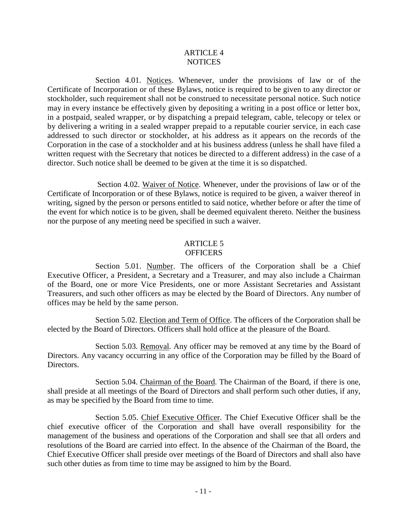## ARTICLE 4 NOTICES

Section 4.01. Notices. Whenever, under the provisions of law or of the Certificate of Incorporation or of these Bylaws, notice is required to be given to any director or stockholder, such requirement shall not be construed to necessitate personal notice. Such notice may in every instance be effectively given by depositing a writing in a post office or letter box, in a postpaid, sealed wrapper, or by dispatching a prepaid telegram, cable, telecopy or telex or by delivering a writing in a sealed wrapper prepaid to a reputable courier service, in each case addressed to such director or stockholder, at his address as it appears on the records of the Corporation in the case of a stockholder and at his business address (unless he shall have filed a written request with the Secretary that notices be directed to a different address) in the case of a director. Such notice shall be deemed to be given at the time it is so dispatched.

 Section 4.02. Waiver of Notice. Whenever, under the provisions of law or of the Certificate of Incorporation or of these Bylaws, notice is required to be given, a waiver thereof in writing, signed by the person or persons entitled to said notice, whether before or after the time of the event for which notice is to be given, shall be deemed equivalent thereto. Neither the business nor the purpose of any meeting need be specified in such a waiver.

# ARTICLE 5 **OFFICERS**

Section 5.01. Number. The officers of the Corporation shall be a Chief Executive Officer, a President, a Secretary and a Treasurer, and may also include a Chairman of the Board, one or more Vice Presidents, one or more Assistant Secretaries and Assistant Treasurers, and such other officers as may be elected by the Board of Directors. Any number of offices may be held by the same person.

Section 5.02. Election and Term of Office. The officers of the Corporation shall be elected by the Board of Directors. Officers shall hold office at the pleasure of the Board.

Section 5.03. Removal. Any officer may be removed at any time by the Board of Directors. Any vacancy occurring in any office of the Corporation may be filled by the Board of Directors.

Section 5.04. Chairman of the Board. The Chairman of the Board, if there is one, shall preside at all meetings of the Board of Directors and shall perform such other duties, if any, as may be specified by the Board from time to time.

Section 5.05. Chief Executive Officer. The Chief Executive Officer shall be the chief executive officer of the Corporation and shall have overall responsibility for the management of the business and operations of the Corporation and shall see that all orders and resolutions of the Board are carried into effect. In the absence of the Chairman of the Board, the Chief Executive Officer shall preside over meetings of the Board of Directors and shall also have such other duties as from time to time may be assigned to him by the Board.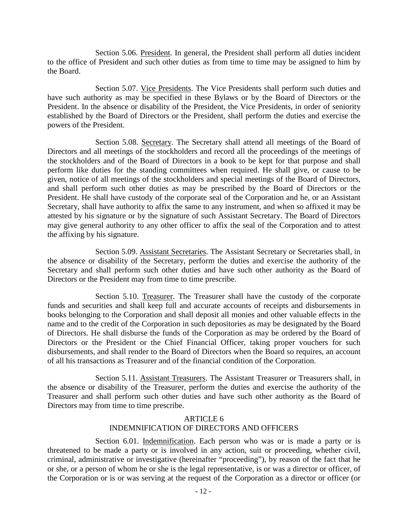Section 5.06. President. In general, the President shall perform all duties incident to the office of President and such other duties as from time to time may be assigned to him by the Board.

Section 5.07. Vice Presidents. The Vice Presidents shall perform such duties and have such authority as may be specified in these Bylaws or by the Board of Directors or the President. In the absence or disability of the President, the Vice Presidents, in order of seniority established by the Board of Directors or the President, shall perform the duties and exercise the powers of the President.

Section 5.08. Secretary. The Secretary shall attend all meetings of the Board of Directors and all meetings of the stockholders and record all the proceedings of the meetings of the stockholders and of the Board of Directors in a book to be kept for that purpose and shall perform like duties for the standing committees when required. He shall give, or cause to be given, notice of all meetings of the stockholders and special meetings of the Board of Directors, and shall perform such other duties as may be prescribed by the Board of Directors or the President. He shall have custody of the corporate seal of the Corporation and he, or an Assistant Secretary, shall have authority to affix the same to any instrument, and when so affixed it may be attested by his signature or by the signature of such Assistant Secretary. The Board of Directors may give general authority to any other officer to affix the seal of the Corporation and to attest the affixing by his signature.

Section 5.09. Assistant Secretaries. The Assistant Secretary or Secretaries shall, in the absence or disability of the Secretary, perform the duties and exercise the authority of the Secretary and shall perform such other duties and have such other authority as the Board of Directors or the President may from time to time prescribe.

Section 5.10. Treasurer. The Treasurer shall have the custody of the corporate funds and securities and shall keep full and accurate accounts of receipts and disbursements in books belonging to the Corporation and shall deposit all monies and other valuable effects in the name and to the credit of the Corporation in such depositories as may be designated by the Board of Directors. He shall disburse the funds of the Corporation as may be ordered by the Board of Directors or the President or the Chief Financial Officer, taking proper vouchers for such disbursements, and shall render to the Board of Directors when the Board so requires, an account of all his transactions as Treasurer and of the financial condition of the Corporation.

Section 5.11. Assistant Treasurers. The Assistant Treasurer or Treasurers shall, in the absence or disability of the Treasurer, perform the duties and exercise the authority of the Treasurer and shall perform such other duties and have such other authority as the Board of Directors may from time to time prescribe.

# ARTICLE 6 INDEMNIFICATION OF DIRECTORS AND OFFICERS

Section 6.01. Indemnification. Each person who was or is made a party or is threatened to be made a party or is involved in any action, suit or proceeding, whether civil, criminal, administrative or investigative (hereinafter "proceeding"), by reason of the fact that he or she, or a person of whom he or she is the legal representative, is or was a director or officer, of the Corporation or is or was serving at the request of the Corporation as a director or officer (or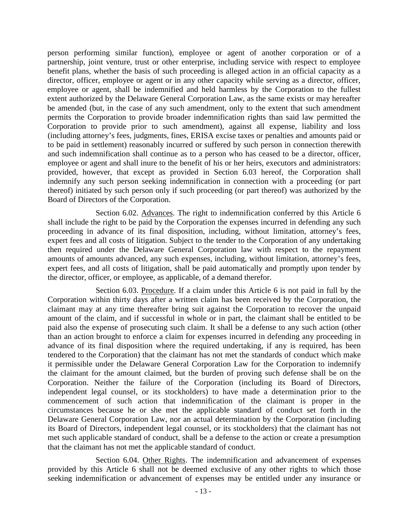person performing similar function), employee or agent of another corporation or of a partnership, joint venture, trust or other enterprise, including service with respect to employee benefit plans, whether the basis of such proceeding is alleged action in an official capacity as a director, officer, employee or agent or in any other capacity while serving as a director, officer, employee or agent, shall be indemnified and held harmless by the Corporation to the fullest extent authorized by the Delaware General Corporation Law, as the same exists or may hereafter be amended (but, in the case of any such amendment, only to the extent that such amendment permits the Corporation to provide broader indemnification rights than said law permitted the Corporation to provide prior to such amendment), against all expense, liability and loss (including attorney's fees, judgments, fines, ERISA excise taxes or penalties and amounts paid or to be paid in settlement) reasonably incurred or suffered by such person in connection therewith and such indemnification shall continue as to a person who has ceased to be a director, officer, employee or agent and shall inure to the benefit of his or her heirs, executors and administrators: provided, however, that except as provided in Section 6.03 hereof, the Corporation shall indemnify any such person seeking indemnification in connection with a proceeding (or part thereof) initiated by such person only if such proceeding (or part thereof) was authorized by the Board of Directors of the Corporation.

Section 6.02. Advances. The right to indemnification conferred by this Article 6 shall include the right to be paid by the Corporation the expenses incurred in defending any such proceeding in advance of its final disposition, including, without limitation, attorney's fees, expert fees and all costs of litigation. Subject to the tender to the Corporation of any undertaking then required under the Delaware General Corporation law with respect to the repayment amounts of amounts advanced, any such expenses, including, without limitation, attorney's fees, expert fees, and all costs of litigation, shall be paid automatically and promptly upon tender by the director, officer, or employee, as applicable, of a demand therefor.

Section 6.03. Procedure. If a claim under this Article 6 is not paid in full by the Corporation within thirty days after a written claim has been received by the Corporation, the claimant may at any time thereafter bring suit against the Corporation to recover the unpaid amount of the claim, and if successful in whole or in part, the claimant shall be entitled to be paid also the expense of prosecuting such claim. It shall be a defense to any such action (other than an action brought to enforce a claim for expenses incurred in defending any proceeding in advance of its final disposition where the required undertaking, if any is required, has been tendered to the Corporation) that the claimant has not met the standards of conduct which make it permissible under the Delaware General Corporation Law for the Corporation to indemnify the claimant for the amount claimed, but the burden of proving such defense shall be on the Corporation. Neither the failure of the Corporation (including its Board of Directors, independent legal counsel, or its stockholders) to have made a determination prior to the commencement of such action that indemnification of the claimant is proper in the circumstances because he or she met the applicable standard of conduct set forth in the Delaware General Corporation Law, nor an actual determination by the Corporation (including its Board of Directors, independent legal counsel, or its stockholders) that the claimant has not met such applicable standard of conduct, shall be a defense to the action or create a presumption that the claimant has not met the applicable standard of conduct.

Section 6.04. Other Rights. The indemnification and advancement of expenses provided by this Article 6 shall not be deemed exclusive of any other rights to which those seeking indemnification or advancement of expenses may be entitled under any insurance or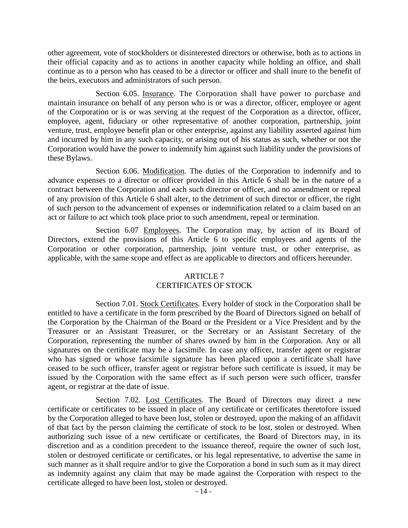other agreement, vote of stockholders or disinterested directors or otherwise, both as to actions in their official capacity and as to actions in another capacity while holding an office, and shall continue as to a person who has ceased to be a director or officer and shall inure to the benefit of the heirs, executors and administrators of such person.

Section 6.05. Insurance. The Corporation shall have power to purchase and maintain insurance on behalf of any person who is or was a director, officer, employee or agent of the Corporation or is or was serving at the request of the Corporation as a director, officer, employee, agent, fiduciary or other representative of another corporation, partnership, joint venture, trust, employee benefit plan or other enterprise, against any liability asserted against him and incurred by him in any such capacity, or arising out of his status as such, whether or not the Corporation would have the power to indemnify him against such liability under the provisions of these Bylaws.

Section 6.06. Modification. The duties of the Corporation to indemnify and to advance expenses to a director or officer provided in this Article 6 shall be in the nature of a contract between the Corporation and each such director or officer, and no amendment or repeal of any provision of this Article 6 shall alter, to the detriment of such director or officer, the right of such person to the advancement of expenses or indemnification related to a claim based on an act or failure to act which took place prior to such amendment, repeal or termination.

Section 6.07 Employees. The Corporation may, by action of its Board of Directors, extend the provisions of this Article 6 to specific employees and agents of the Corporation or other corporation, partnership, joint venture trust, or other enterprise, as applicable, with the same scope and effect as are applicable to directors and officers hereunder.

# ARTICLE 7

# CERTIFICATES OF STOCK

Section 7.01. Stock Certificates. Every holder of stock in the Corporation shall be entitled to have a certificate in the form prescribed by the Board of Directors signed on behalf of the Corporation by the Chairman of the Board or the President or a Vice President and by the Treasurer or an Assistant Treasurer, or the Secretary or an Assistant Secretary of the Corporation, representing the number of shares owned by him in the Corporation. Any or all signatures on the certificate may be a facsimile. In case any officer, transfer agent or registrar who has signed or whose facsimile signature has been placed upon a certificate shall have ceased to be such officer, transfer agent or registrar before such certificate is issued, it may be issued by the Corporation with the same effect as if such person were such officer, transfer agent, or registrar at the date of issue.

Section 7.02. Lost Certificates. The Board of Directors may direct a new certificate or certificates to be issued in place of any certificate or certificates theretofore issued by the Corporation alleged to have been lost, stolen or destroyed, upon the making of an affidavit of that fact by the person claiming the certificate of stock to be lost, stolen or destroyed. When authorizing such issue of a new certificate or certificates, the Board of Directors may, in its discretion and as a condition precedent to the issuance thereof, require the owner of such lost, stolen or destroyed certificate or certificates, or his legal representative, to advertise the same in such manner as it shall require and/or to give the Corporation a bond in such sum as it may direct as indemnity against any claim that may be made against the Corporation with respect to the certificate alleged to have been lost, stolen or destroyed.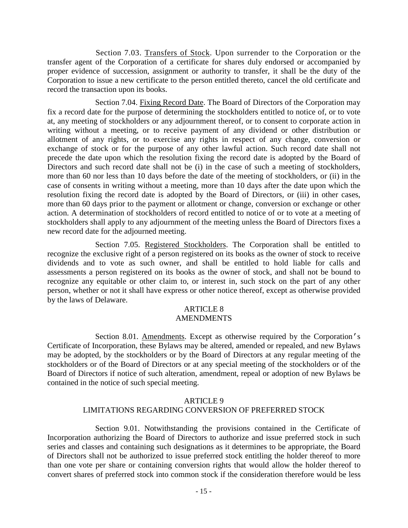Section 7.03. Transfers of Stock. Upon surrender to the Corporation or the transfer agent of the Corporation of a certificate for shares duly endorsed or accompanied by proper evidence of succession, assignment or authority to transfer, it shall be the duty of the Corporation to issue a new certificate to the person entitled thereto, cancel the old certificate and record the transaction upon its books.

Section 7.04. Fixing Record Date. The Board of Directors of the Corporation may fix a record date for the purpose of determining the stockholders entitled to notice of, or to vote at, any meeting of stockholders or any adjournment thereof, or to consent to corporate action in writing without a meeting, or to receive payment of any dividend or other distribution or allotment of any rights, or to exercise any rights in respect of any change, conversion or exchange of stock or for the purpose of any other lawful action. Such record date shall not precede the date upon which the resolution fixing the record date is adopted by the Board of Directors and such record date shall not be (i) in the case of such a meeting of stockholders, more than 60 nor less than 10 days before the date of the meeting of stockholders, or (ii) in the case of consents in writing without a meeting, more than 10 days after the date upon which the resolution fixing the record date is adopted by the Board of Directors, or (iii) in other cases, more than 60 days prior to the payment or allotment or change, conversion or exchange or other action. A determination of stockholders of record entitled to notice of or to vote at a meeting of stockholders shall apply to any adjournment of the meeting unless the Board of Directors fixes a new record date for the adjourned meeting.

Section 7.05. Registered Stockholders. The Corporation shall be entitled to recognize the exclusive right of a person registered on its books as the owner of stock to receive dividends and to vote as such owner, and shall be entitled to hold liable for calls and assessments a person registered on its books as the owner of stock, and shall not be bound to recognize any equitable or other claim to, or interest in, such stock on the part of any other person, whether or not it shall have express or other notice thereof, except as otherwise provided by the laws of Delaware.

# ARTICLE 8

# AMENDMENTS

Section 8.01. Amendments. Except as otherwise required by the Corporation's Certificate of Incorporation, these Bylaws may be altered, amended or repealed, and new Bylaws may be adopted, by the stockholders or by the Board of Directors at any regular meeting of the stockholders or of the Board of Directors or at any special meeting of the stockholders or of the Board of Directors if notice of such alteration, amendment, repeal or adoption of new Bylaws be contained in the notice of such special meeting.

# ARTICLE 9

# LIMITATIONS REGARDING CONVERSION OF PREFERRED STOCK

Section 9.01. Notwithstanding the provisions contained in the Certificate of Incorporation authorizing the Board of Directors to authorize and issue preferred stock in such series and classes and containing such designations as it determines to be appropriate, the Board of Directors shall not be authorized to issue preferred stock entitling the holder thereof to more than one vote per share or containing conversion rights that would allow the holder thereof to convert shares of preferred stock into common stock if the consideration therefore would be less